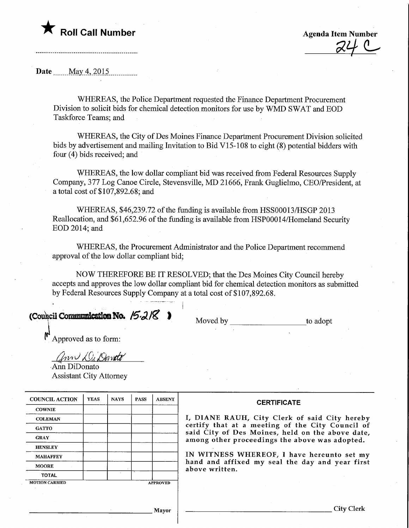## $\blacktriangledown$  Roll Call Number

Agenda Item Number tem Number<br>24 C

Date \_\_\_\_\_\_ May 4, 2015

WHEREAS, the Police Department requested the Finance Department Procurement Division to solicit bids for chemical detection monitors for use by WMD SWAT and EOD Taskforce Teams; and

WHEREAS, the City of Des Moines Finance Department Procurement Division solicited bids by advertisement and mailing Invitation to Bid VI 5-108 to eight (8) potential bidders with four (4) bids received; and

WHEREAS, the low dollar compliant bid was received from Federal Resources Supply Company, 377 Log Canoe Circle, Stevensville, MD 21666, Frank Guglielmo, CEO/President, at a total cost of \$107,892.68; and

WHEREAS, \$46,239.72 of the funding is available from HSS00013/HSGP 2013 Reallocation, and \$61,652.96 of the funding is available from HSP00014/Homeland Security EOD 2014; and

WHEREAS, the Procurement Administrator and the Police Department recommend approval of the low dollar compliant bid;

NOW THEREFORE BE IT RESOLVED; that the Des Moines City Council hereby accepts and approves the low dollar compliant bid for chemical detection monitors as submitted by Federal Resources Supply Company at a total cost of \$107,892.68.

(Council Communication No.  $15-218$  Moved by to adopt to adopt

 $\int_{a}^{\infty}$  Approved as to form:

ann DiDenate

Ann DiDonato Assistant City Attorney

| <b>COUNCIL ACTION</b> | <b>YEAS</b> | <b>NAYS</b> | <b>PASS</b> | <b>ABSENT</b>   | <b>CERTIFICATE</b>                                                                                 |  |  |  |  |  |  |  |  |
|-----------------------|-------------|-------------|-------------|-----------------|----------------------------------------------------------------------------------------------------|--|--|--|--|--|--|--|--|
| <b>COWNIE</b>         |             |             |             |                 |                                                                                                    |  |  |  |  |  |  |  |  |
| <b>COLEMAN</b>        |             |             |             |                 | I, DIANE RAUH, City Clerk of said City hereby                                                      |  |  |  |  |  |  |  |  |
| <b>GATTO</b>          |             |             |             |                 | certify that at a meeting of the City Council of                                                   |  |  |  |  |  |  |  |  |
| <b>GRAY</b>           |             |             |             |                 | said City of Des Moines, held on the above date,<br>among other proceedings the above was adopted. |  |  |  |  |  |  |  |  |
| <b>HENSLEY</b>        |             |             |             |                 |                                                                                                    |  |  |  |  |  |  |  |  |
| <b>MAHAFFEY</b>       |             |             |             |                 | IN WITNESS WHEREOF, I have hereunto set my                                                         |  |  |  |  |  |  |  |  |
| <b>MOORE</b>          |             |             |             |                 | hand and affixed my seal the day and year first<br>above written.                                  |  |  |  |  |  |  |  |  |
| <b>TOTAL</b>          |             |             |             |                 |                                                                                                    |  |  |  |  |  |  |  |  |
| <b>MOTION CARRIED</b> |             |             |             | <b>APPROVED</b> |                                                                                                    |  |  |  |  |  |  |  |  |
|                       |             |             |             |                 |                                                                                                    |  |  |  |  |  |  |  |  |
|                       |             |             |             |                 |                                                                                                    |  |  |  |  |  |  |  |  |
| Mayor                 |             |             |             |                 | City Clerl                                                                                         |  |  |  |  |  |  |  |  |